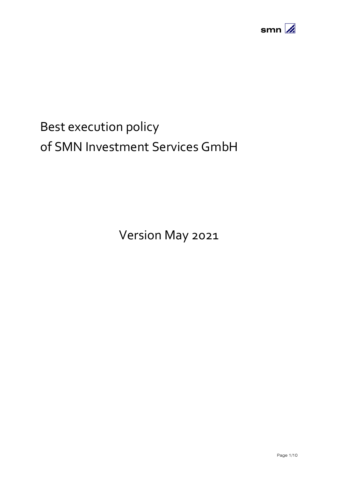

# Best execution policy of SMN Investment Services GmbH

Version May 2021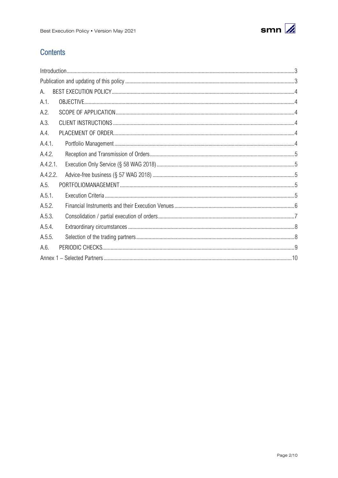

# **Contents**

| А.       |  |
|----------|--|
| A.1.     |  |
| A.2.     |  |
| A.3.     |  |
| A.4.     |  |
| A.4.1.   |  |
| A.4.2.   |  |
| A.4.2.1. |  |
| A.4.2.2. |  |
| A.5.     |  |
| A.5.1.   |  |
| A.5.2.   |  |
| A.5.3.   |  |
| A.5.4.   |  |
| A.5.5.   |  |
| A.6.     |  |
|          |  |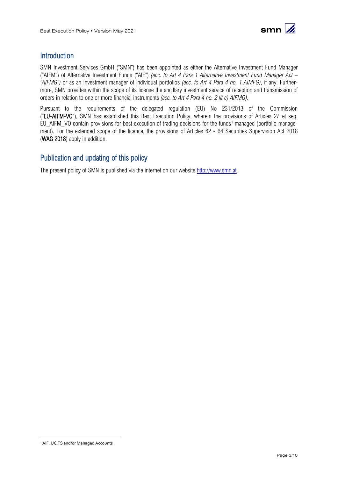

## <span id="page-2-0"></span>**Introduction**

SMN Investment Services GmbH ("SMN") has been appointed as either the Alternative Investment Fund Manager ("AIFM") of Alternative Investment Funds ("AIF") *(acc. to Art 4 Para 1 Alternative Investment Fund Manager Act – "AIFMG")* or as an investment manager of individual portfolios *(acc. to Art 4 Para 4 no. 1 AIMFG)*, if any. Furthermore, SMN provides within the scope of its license the ancillary investment service of reception and transmission of orders in relation to one or more financial instruments *(acc. to Art 4 Para 4 no. 2 lit c) AIFMG)*.

Pursuant to the requirements of the delegated regulation (EU) No 231/2013 of the Commission ("EU-AIFM-VO"), SMN has established this Best Execution Policy, wherein the provisions of Articles 27 et seq. EU AIFM VO contain provisions for best execution of trading decisions for the funds<sup>[1](#page-2-2)</sup> managed (portfolio management). For the extended scope of the licence, the provisions of Articles 62 - 64 Securities Supervision Act 2018 (WAG 2018) apply in addition.

## <span id="page-2-1"></span>Publication and updating of this policy

The present policy of SMN is published via the internet on our website [http://www.smn.at.](http://www.smn.at/)

<span id="page-2-2"></span><sup>&</sup>lt;sup>1</sup> AIF, UCITS and/or Managed Accounts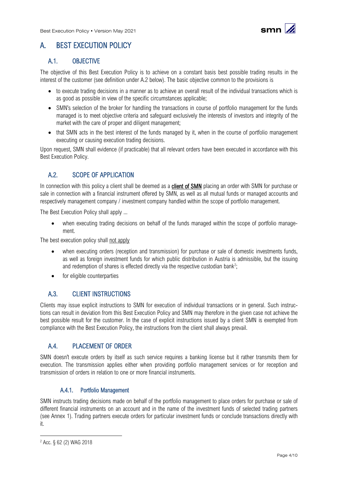

# <span id="page-3-0"></span>A. BEST EXECUTION POLICY

## <span id="page-3-1"></span>A.1. OBJECTIVE

The objective of this Best Execution Policy is to achieve on a constant basis best possible trading results in the interest of the customer (see definition under A.2 below). The basic objective common to the provisions is

- to execute trading decisions in a manner as to achieve an overall result of the individual transactions which is as good as possible in view of the specific circumstances applicable;
- SMN's selection of the broker for handling the transactions in course of portfolio management for the funds managed is to meet objective criteria and safeguard exclusively the interests of investors and integrity of the market with the care of proper and diligent management;
- that SMN acts in the best interest of the funds managed by it, when in the course of portfolio management executing or causing execution trading decisions.

Upon request, SMN shall evidence (if practicable) that all relevant orders have been executed in accordance with this Best Execution Policy.

## <span id="page-3-2"></span>A.2. SCOPE OF APPLICATION

In connection with this policy a client shall be deemed as a **client of SMN** placing an order with SMN for purchase or sale in connection with a financial instrument offered by SMN, as well as all mutual funds or managed accounts and respectively management company / investment company handled within the scope of portfolio management.

The Best Execution Policy shall apply ...

• when executing trading decisions on behalf of the funds managed within the scope of portfolio management.

The best execution policy shall not apply

- when executing orders (reception and transmission) for purchase or sale of domestic investments funds, as well as foreign investment funds for which public distribution in Austria is admissible, but the issuing and redemption of shares is effected directly via the respective custodian bank<sup>[2](#page-3-6)</sup>;
- for eligible counterparties

## <span id="page-3-3"></span>A.3. CLIENT INSTRUCTIONS

Clients may issue explicit instructions to SMN for execution of individual transactions or in general. Such instructions can result in deviation from this Best Execution Policy and SMN may therefore in the given case not achieve the best possible result for the customer. In the case of explicit instructions issued by a client SMN is exempted from compliance with the Best Execution Policy, the instructions from the client shall always prevail.

## <span id="page-3-4"></span>A.4. PLACEMENT OF ORDER

SMN doesn't execute orders by itself as such service requires a banking license but it rather transmits them for execution. The transmission applies either when providing portfolio management services or for reception and transmission of orders in relation to one or more financial instruments.

#### A.4.1. Portfolio Management

<span id="page-3-5"></span>SMN instructs trading decisions made on behalf of the portfolio management to place orders for purchase or sale of different financial instruments on an account and in the name of the investment funds of selected trading partners (see Annex 1). Trading partners execute orders for particular investment funds or conclude transactions directly with it.

<span id="page-3-6"></span><sup>2</sup> Acc. § 62 (2) WAG 2018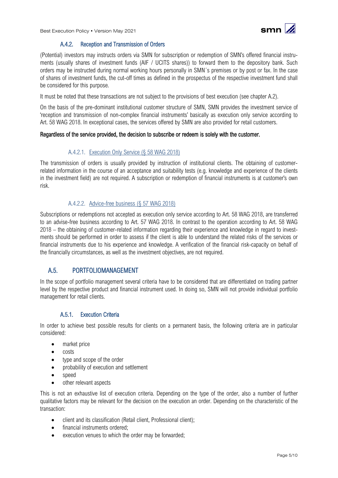



#### A.4.2. Reception and Transmission of Orders

<span id="page-4-0"></span>(Potential) investors may instructs orders via SMN for subscription or redemption of SMN's offered financial instruments (usually shares of investment funds (AIF / UCITS shares)) to forward them to the depository bank. Such orders may be instructed during normal working hours personally in SMN´s premises or by post or fax. In the case of shares of investment funds, the cut-off times as defined in the prospectus of the respective investment fund shall be considered for this purpose.

It must be noted that these transactions are not subject to the provisions of best execution (see chapter A.2).

On the basis of the pre-dominant institutional customer structure of SMN, SMN provides the investment service of 'reception and transmission of non-complex financial instruments' basically as execution only service according to Art. 58 WAG 2018. In exceptional cases, the services offered by SMN are also provided for retail customers.

#### <span id="page-4-1"></span>Regardless of the service provided, the decision to subscribe or redeem is solely with the customer.

#### A.4.2.1. Execution Only Service (§ 58 WAG 2018)

The transmission of orders is usually provided by instruction of institutional clients. The obtaining of customerrelated information in the course of an acceptance and suitability tests (e.g. knowledge and experience of the clients in the investment field) are not required. A subscription or redemption of financial instruments is at customer's own risk.

#### A.4.2.2. Advice-free business (§ 57 WAG 2018)

<span id="page-4-2"></span>Subscriptions or redemptions not accepted as execution only service according to Art. 58 WAG 2018, are transferred to an advise-free business according to Art. 57 WAG 2018. In contrast to the operation according to Art. 58 WAG 2018 – the obtaining of customer-related information regarding their experience and knowledge in regard to investments should be performed in order to assess if the client is able to understand the related risks of the services or financial instruments due to his experience and knowledge. A verification of the financial risk-capacity on behalf of the financially circumstances, as well as the investment objectives, are not required.

## <span id="page-4-3"></span>A.5. PORTFOLIOMANAGEMENT

In the scope of portfolio management several criteria have to be considered that are differentiated on trading partner level by the respective product and financial instrument used. In doing so, SMN will not provide individual portfolio management for retail clients.

#### A.5.1. Execution Criteria

<span id="page-4-4"></span>In order to achieve best possible results for clients on a permanent basis, the following criteria are in particular considered:

- market price
- costs
- type and scope of the order
- probability of execution and settlement
- speed
- other relevant aspects

This is not an exhaustive list of execution criteria. Depending on the type of the order, also a number of further qualitative factors may be relevant for the decision on the execution an order. Depending on the characteristic of the transaction:

- client and its classification (Retail client, Professional client):
- financial instruments ordered:
- execution venues to which the order may be forwarded;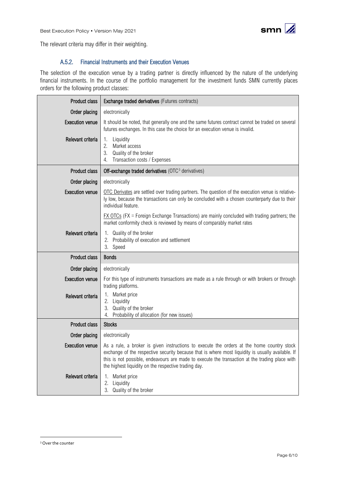

<span id="page-5-0"></span>The relevant criteria may differ in their weighting.

#### A.5.2. Financial Instruments and their Execution Venues

The selection of the execution venue by a trading partner is directly influenced by the nature of the underlying financial instruments. In the course of the portfolio management for the investment funds SMN currently places orders for the following product classes:

| <b>Product class</b>   | <b>Exchange traded derivatives (Futures contracts)</b>                                                                                                                                                                                                                                                                                                   |  |  |  |
|------------------------|----------------------------------------------------------------------------------------------------------------------------------------------------------------------------------------------------------------------------------------------------------------------------------------------------------------------------------------------------------|--|--|--|
| Order placing          | electronically                                                                                                                                                                                                                                                                                                                                           |  |  |  |
| <b>Execution venue</b> | It should be noted, that generally one and the same futures contract cannot be traded on several<br>futures exchanges. In this case the choice for an execution venue is invalid.                                                                                                                                                                        |  |  |  |
| Relevant criteria      | 1.<br>Liquidity<br>2. Market access<br>3. Quality of the broker<br>Transaction costs / Expenses<br>4.                                                                                                                                                                                                                                                    |  |  |  |
| <b>Product class</b>   | Off-exchange traded derivatives (OTC <sup>3</sup> derivatives)                                                                                                                                                                                                                                                                                           |  |  |  |
| Order placing          | electronically                                                                                                                                                                                                                                                                                                                                           |  |  |  |
| <b>Execution venue</b> | OTC Derivates are settled over trading partners. The question of the execution venue is relative-<br>ly low, because the transactions can only be concluded with a chosen counterparty due to their<br>individual feature.                                                                                                                               |  |  |  |
|                        | $EX OTCs$ (FX = Foreign Exchange Transactions) are mainly concluded with trading partners; the<br>market conformity check is reviewed by means of comparably market rates                                                                                                                                                                                |  |  |  |
| Relevant criteria      | 1. Quality of the broker<br>2. Probability of execution and settlement<br>3. Speed                                                                                                                                                                                                                                                                       |  |  |  |
| <b>Product class</b>   | <b>Bonds</b>                                                                                                                                                                                                                                                                                                                                             |  |  |  |
| Order placing          | electronically                                                                                                                                                                                                                                                                                                                                           |  |  |  |
| <b>Execution venue</b> | For this type of instruments transactions are made as a rule through or with brokers or through<br>trading platforms.                                                                                                                                                                                                                                    |  |  |  |
| Relevant criteria      | 1. Market price<br>2. Liquidity<br>3. Quality of the broker<br>Probability of allocation (for new issues)<br>4.                                                                                                                                                                                                                                          |  |  |  |
| <b>Product class</b>   | <b>Stocks</b>                                                                                                                                                                                                                                                                                                                                            |  |  |  |
| Order placing          | electronically                                                                                                                                                                                                                                                                                                                                           |  |  |  |
| <b>Execution venue</b> | As a rule, a broker is given instructions to execute the orders at the home country stock<br>exchange of the respective security because that is where most liquidity is usually available. If<br>this is not possible, endeavours are made to execute the transaction at the trading place with<br>the highest liquidity on the respective trading day. |  |  |  |
| Relevant criteria      | Market price<br>1.<br>Liquidity<br>2.<br>Quality of the broker<br>3.                                                                                                                                                                                                                                                                                     |  |  |  |

<span id="page-5-1"></span><sup>3</sup> Over the counter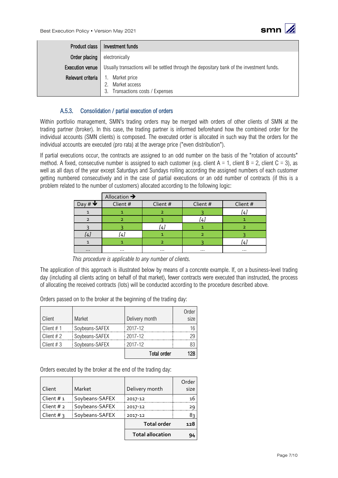

| Product class '        | Investment funds                                                                          |  |  |  |
|------------------------|-------------------------------------------------------------------------------------------|--|--|--|
| Order placing          | electronically                                                                            |  |  |  |
| <b>Execution venue</b> | Usually transactions will be settled through the depositary bank of the investment funds. |  |  |  |
| Relevant criteria      | Market price<br>1.<br>Market access<br>Transactions costs / Expenses<br>3.                |  |  |  |

#### A.5.3. Consolidation / partial execution of orders

<span id="page-6-0"></span>Within portfolio management, SMN's trading orders may be merged with orders of other clients of SMN at the trading partner (broker). In this case, the trading partner is informed beforehand how the combined order for the individual accounts (SMN clients) is composed. The executed order is allocated in such way that the orders for the individual accounts are executed (pro rata) at the average price ("even distribution").

If partial executions occur, the contracts are assigned to an odd number on the basis of the "rotation of accounts" method. A fixed, consecutive number is assigned to each customer (e.g. client  $A = 1$ , client  $B = 2$ , client  $C = 3$ ), as well as all days of the year except Saturdays and Sundays rolling according the assigned numbers of each customer getting numbered consecutively and in the case of partial executions or an odd number of contracts (if this is a problem related to the number of customers) allocated according to the following logic:

|           | Allocation $\rightarrow$ |          |          |          |
|-----------|--------------------------|----------|----------|----------|
| <b>W#</b> | Client #                 | Client # | Client # | Client # |
|           |                          | っ        |          | !4.      |
|           |                          |          | [4]      |          |
|           |                          | 4.       |          |          |
|           | [4]                      |          |          |          |
|           |                          | า        |          | !4.      |
| $\cdots$  | $\cdots$                 | $\cdots$ | $\cdots$ | $\cdots$ |

*This procedure is applicable to any number of clients.*

The application of this approach is illustrated below by means of a concrete example. If, on a business-level trading day (including all clients acting on behalf of that market), fewer contracts were executed than instructed, the process of allocating the received contracts (lots) will be conducted according to the procedure described above.

Orders passed on to the broker at the beginning of the trading day:

| Client       | Market         | Delivery month     | Order<br>size |
|--------------|----------------|--------------------|---------------|
| Client $# 1$ | Soybeans-SAFEX | 2017-12            | 16            |
| Client $# 2$ | Soybeans-SAFEX | 2017-12            | 29            |
| Client $# 3$ | Soybeans-SAFEX | 2017-12            | 83            |
|              |                | <b>Total order</b> | 128           |

Orders executed by the broker at the end of the trading day:

| Client       | Market         | Delivery month          | Order<br>size |
|--------------|----------------|-------------------------|---------------|
| Client $# 1$ | Soybeans-SAFEX | 2017-12                 | 16            |
| Client $# 2$ | Soybeans-SAFEX | 2017-12                 | 29            |
| Client # 3   | Soybeans-SAFEX | 2017-12                 | 8३            |
|              |                | <b>Total order</b>      | 128           |
|              |                | <b>Total allocation</b> | 94            |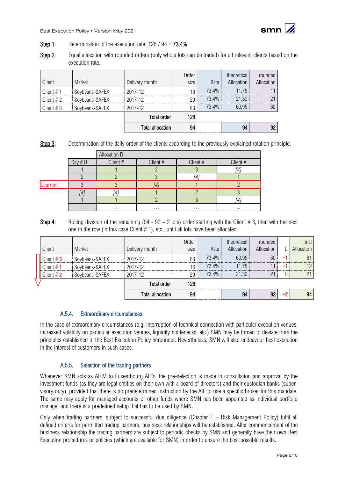

- Step 1: Determination of the execution rate: 128 / 94 = **73.4%**
- Step 2: Equal allocation with rounded orders (only whole lots can be traded) for all relevant clients based on the execution rate.

| Client       | Market         | Delivery month          | Order<br>size | Rate  | theoretical<br>Allocation | rounded<br>Allocation |
|--------------|----------------|-------------------------|---------------|-------|---------------------------|-----------------------|
| Client $# 1$ | Soybeans-SAFEX | 2017-12                 | 16            | 73.4% | 11.75                     |                       |
| Client $#2$  | Soybeans-SAFEX | 2017-12                 | 29            | 73.4% | 21.30                     |                       |
| Client $#3$  | Soybeans-SAFEX | 2017-12                 | 83            | 73.4% | 60.95                     | 60                    |
|              |                | <b>Total order</b>      | 128           |       |                           |                       |
|              |                | <b>Total allocation</b> | 94            |       | 94                        |                       |

Step 3: Determination of the daily order of the clients according to the previously explained rotation principle.

|                 |              | Allocation D |          |          |          |
|-----------------|--------------|--------------|----------|----------|----------|
|                 | Day $# \Box$ | Client #     | Client # | Client # | Client # |
|                 |              |              |          |          |          |
|                 |              |              |          |          |          |
| <b>Dcurrent</b> |              |              |          |          |          |
|                 |              |              |          |          |          |
|                 |              |              |          |          | 4        |
|                 | $\cdots$     | $\cdots$     | $\cdots$ | $\cdots$ | $\cdots$ |

Step 4: Rolling division of the remaining (94 - 92 = 2 lots) order starting with the Client # 3, then with the next one in the row (in this case Client # 1), etc., until all lots have been allocated.

| Client $#2$  | Soybeans-SAFEX | 2017-12<br><b>Total order</b> | 29<br>128     |                |                           |                       |    |                     |
|--------------|----------------|-------------------------------|---------------|----------------|---------------------------|-----------------------|----|---------------------|
| Client # $1$ | Soybeans-SAFEX | $2017 - 12$                   | 16            | 73.4%<br>73.4% | 11.75<br>21.30            | $\bigcap$             |    | $\Omega$            |
| Client $#3$  | Soybeans-SAFEX | 2017-12                       | 83            | 73.4%          | 60.95                     | 60                    |    | 61                  |
| Client       | Market         | Delivery month                | Order<br>size | Rate           | theoretical<br>Allocation | rounded<br>Allocation | П. | final<br>Allocation |

#### A.5.4. Extraordinary circumstances

<span id="page-7-0"></span>In the case of extraordinary circumstances (e.g. interruption of technical connection with particular execution venues, increased volatility on particular execution venues, liquidity bottlenecks, etc.) SMN may be forced to deviate from the principles established in the Best Execution Policy hereunder. Nevertheless, SMN will also endeavour best execution in the interest of customers in such cases.

#### A.5.5. Selection of the trading partners

<span id="page-7-1"></span>Whenever SMN acts as AIFM to Luxembourg AIF's, the pre-selection is made in consultation and approval by the investment funds (as they are legal entities on their own with a board of directors) and their custodian banks (supervisory duty), provided that there is no predetermined instruction by the AIF to use a specific broker for this mandate. The same may apply for managed accounts or other funds where SMN has been appointed as individual portfolio manager and there is a predefined setup that has to be used by SMN.

Only when trading partners, subject to successful due diligence (Chapter F – Risk Management Policy) fulfil all defined criteria for permitted trading partners, business relationships will be established. After commencement of the business relationship the trading partners are subject to periodic checks by SMN and generally have their own Best Execution procedures or policies (which are available for SMN) in order to ensure the best possible results.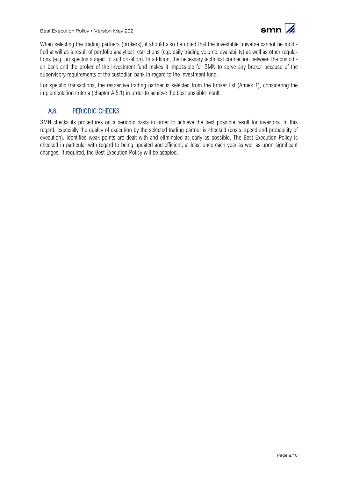

When selecting the trading partners (brokers), it should also be noted that the investable universe cannot be modified at will as a result of portfolio analytical restrictions (e.g. daily trading volume, availability) as well as other regulations (e.g. prospectus subject to authorization). In addition, the necessary technical connection between the custodian bank and the broker of the investment fund makes it impossible for SMN to serve any broker because of the supervisory requirements of the custodian bank in regard to the investment fund.

For specific transactions, the respective trading partner is selected from the broker list (Annex 1), considering the implementation criteria (chapter A.5.1) in order to achieve the best possible result.

## <span id="page-8-0"></span>A.6. PERIODIC CHECKS

SMN checks its procedures on a periodic basis in order to achieve the best possible result for investors. In this regard, especially the quality of execution by the selected trading partner is checked (costs, speed and probability of execution). Identified weak points are dealt with and eliminated as early as possible. The Best Execution Policy is checked in particular with regard to being updated and efficient, at least once each year as well as upon significant changes. If required, the Best Execution Policy will be adapted.